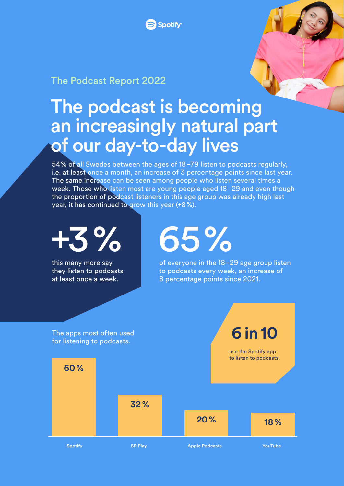

#### The Podcast Report 2022

## The podcast is becoming an increasingly natural part of our day-to-day lives

54% of all Swedes between the ages of 18–79 listen to podcasts regularly, i.e. at least once a month, an increase of 3 percentage points since last year. The same increase can be seen among people who listen several times a week. Those who listen most are young people aged 18–29 and even though the proportion of podcast listeners in this age group was already high last year, it has continued to grow this year  $(+8\%)$ .

+3 % The apps most often used for listening to podcasts. Spotify SR Play SR Play Apple Podcasts Spotify Apple Poultube this many more say they listen to podcasts at least once a week. 65 % of everyone in the 18–29 age group listen to podcasts every week, an increase of 8 percentage points since 2021. **60 % 32 % 20 % 18 % 6 in 10** use the Spotify app to listen to podcasts.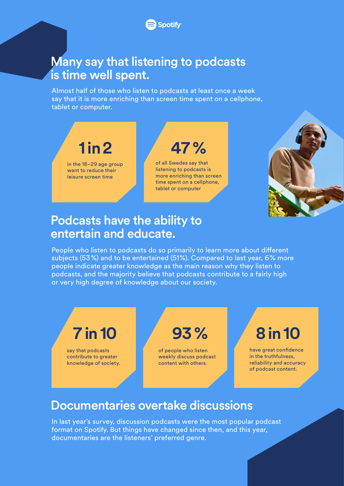## Many say that listening to podcasts is time well spent.

Almost half of those who listen to podcasts at least once a week say that it is more enriching than screen time spent on a cellphone, tablet or computer.

# **1 in 2**

in the 18–29 age group want to reduce their leisure screen time

**47 %**

of all Swedes say that listening to podcasts is more enriching than screen time spent on a cellphone, tablet or computer



## Podcasts have the ability to entertain and educate.

People who listen to podcasts do so primarily to learn more about different subjects (53%) and to be entertained (51%). Compared to last year, 6% more people indicate greater knowledge as the main reason why they listen to podcasts, and the majority believe that podcasts contribute to a fairly high or very high degree of knowledge about our society.



## Documentaries overtake discussions

In last year's survey, discussion podcasts were the most popular podcast format on Spotify. But things have changed since then, and this year, documentaries are the listeners' preferred genre.